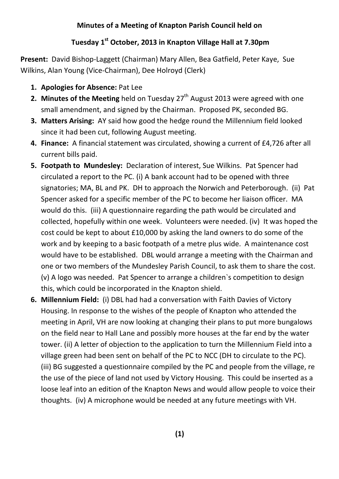## **Minutes of a Meeting of Knapton Parish Council held on**

## **Tuesday 1st October, 2013 in Knapton Village Hall at 7.30pm**

**Present:** David Bishop-Laggett (Chairman) Mary Allen, Bea Gatfield, Peter Kaye, Sue Wilkins, Alan Young (Vice-Chairman), Dee Holroyd (Clerk)

- **1. Apologies for Absence:** Pat Lee
- **2. Minutes of the Meeting** held on Tuesday 27<sup>th</sup> August 2013 were agreed with one small amendment, and signed by the Chairman. Proposed PK, seconded BG.
- **3. Matters Arising:** AY said how good the hedge round the Millennium field looked since it had been cut, following August meeting.
- **4. Finance:** A financial statement was circulated, showing a current of £4,726 after all current bills paid.
- **5. Footpath to Mundesley:** Declaration of interest, Sue Wilkins. Pat Spencer had circulated a report to the PC. (i) A bank account had to be opened with three signatories; MA, BL and PK. DH to approach the Norwich and Peterborough. (ii) Pat Spencer asked for a specific member of the PC to become her liaison officer. MA would do this. (iii) A questionnaire regarding the path would be circulated and collected, hopefully within one week. Volunteers were needed. (iv) It was hoped the cost could be kept to about £10,000 by asking the land owners to do some of the work and by keeping to a basic footpath of a metre plus wide. A maintenance cost would have to be established. DBL would arrange a meeting with the Chairman and one or two members of the Mundesley Parish Council, to ask them to share the cost. (v) A logo was needed. Pat Spencer to arrange a children`s competition to design this, which could be incorporated in the Knapton shield.
- **6. Millennium Field:** (i) DBL had had a conversation with Faith Davies of Victory Housing. In response to the wishes of the people of Knapton who attended the meeting in April, VH are now looking at changing their plans to put more bungalows on the field near to Hall Lane and possibly more houses at the far end by the water tower. (ii) A letter of objection to the application to turn the Millennium Field into a village green had been sent on behalf of the PC to NCC (DH to circulate to the PC). (iii) BG suggested a questionnaire compiled by the PC and people from the village, re the use of the piece of land not used by Victory Housing. This could be inserted as a loose leaf into an edition of the Knapton News and would allow people to voice their thoughts. (iv) A microphone would be needed at any future meetings with VH.